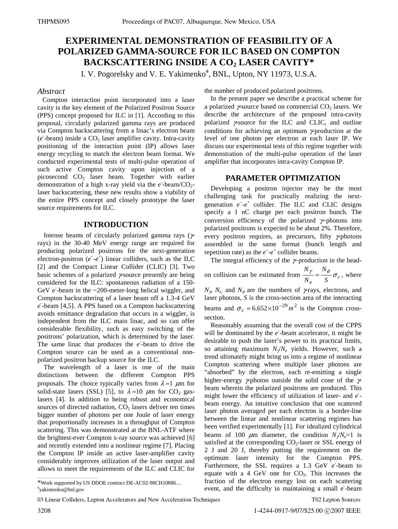# **EXPERIMENTAL DEMONSTRATION OF FEASIBILITY OF A POLARIZED GAMMA-SOURCE FOR ILC BASED ON COMPTON**  BACKSCATTERING INSIDE A CO<sub>2</sub> LASER CAVITY\*

I. V. Pogorelsky and V. E. Yakimenko<sup>#</sup>, BNL, Upton, NY 11973, U.S.A.

### *Abstract*

 Compton interaction point incorporated into a laser cavity is the key element of the Polarized Positron Source (PPS) concept proposed for ILC in [1]. According to this proposal, circularly polarized gamma rays are produced via Compton backscattering from a linac's electron beam (*e* -beam) inside a CO<sub>2</sub> laser amplifier cavity. Intra-cavity positioning of the interaction point (IP) allows laser energy recycling to match the electron beam format. We conducted experimental tests of multi-pulse operation of such active Compton cavity upon injection of a picosecond CO2 laser beam. Together with earlier demonstration of a high x-ray yield via the *e*-beam/CO<sub>2</sub>laser backscattering, these new results show a viability of the entire PPS concept and closely prototype the laser source requirements for ILC.

# **INTRODUCTION**

Intense beams of circularly polarized gamma rays ( $\gamma$ rays) in the 30-40 MeV energy range are required for producing polarized positrons for the next-generation electron-positron  $(e^-e^+)$  linear colliders, such as the ILC [2] and the Compact Linear Collider (CLIC) [3]. Two basic schemes of a polarized γ-source presently are being considered for the ILC: spontaneous radiation of a 150- GeV *e* -beam in the ~200-meter-long helical wiggler, and Compton backscattering of a laser beam off a 1.3-4 GeV *e -* -beam [4,5]. A PPS based on a Compton backscattering avoids emittance degradation that occurs in a wiggler, is independent from the ILC main linac, and so can offer considerable flexibility, such as easy switching of the positrons' polarization, which is determined by the laser. The same linac that produces the *e*-beam to drive the Compton source can be used as a conventional nonpolarized positron backup source for the ILC.

The wavelength of a laser is one of the main distinctions between the different Compton PPS proposals. The choice typically varies from  $\lambda \approx 1$   $\mu$ m for solid-state lasers (SSL) [5], to  $\lambda \approx 10 \mu m$  for CO<sub>2</sub> gaslasers [4]. In addition to being robust and economical sources of directed radiation,  $CO<sub>2</sub>$  lasers deliver ten times bigger number of photons per one Joule of laser energy that proportionally increases in a throughput of Compton scattering. This was demonstrated at the BNL-ATF where the brightest-ever Compton x-ray source was achieved [6] and recently extended into a nonlinear regime [7]. Placing the Compton IP inside an active laser-amplifier cavity considerably improves utilization of the laser output and allows to meet the requirements of the ILC and CLIC for the number of produced polarized positrons.

In the present paper we describe a practical scheme for a polarized  $\gamma$ -source based on commercial CO<sub>2</sub> lasers. We describe the architecture of the proposed intra-cavity polarized γ-source for the ILC and CLIC, and outline conditions for achieving an optimum γ-production at the level of one photon per electron at each laser IP. We discuss our experimental tests of this regime together with demonstration of the multi-pulse operation of the laser amplifier that incorporates intra-cavity Compton IP.

# **PARAMETER OPTIMIZATION**

Developing a positron injector may be the most challenging task for practically realizing the nextgeneration  $e^-e^+$  collider. The ILC and CLIC designs specify a 1 nC charge per each positron bunch. The conversion efficiency of the polarized γ−photons into polarized positrons is expected to be about 2%. Therefore, every positron requires, as precursors, fifty γ-photons assembled in the same format (bunch length and repetition rate) as the  $e^-$ - $e^+$  collider beams.

The integral efficiency of the γ−production in the headon collision can be estimated from  $\frac{r}{N_e} = \frac{v}{S} \sigma_c$ *N N*  $\frac{N_{\gamma}}{N_{\gamma}} = \frac{N_{\phi}}{S} \sigma_c$ , where  $N_{\gamma}$ ,  $N_{e}$ , and  $N_{\phi}$  are the numbers of  $\gamma$ -rays, electrons, and laser photons, *S* is the cross-section area of the interacting beams and  $\sigma_c = 6.652 \times 10^{-29} m^2$  is the Compton cross-

section.

Reasonably assuming that the overall cost of the CPPS will be dominated by the *e -* -beam accelerator, it might be desirable to push the laser's power to its practical limits, so attaining maximum *N*γ/*Ne* yields. However, such a trend ultimately might bring us into a regime of nonlinear Compton scattering where multiple laser photons are "absorbed" by the electron, each re-emitting a single higher-energy  $\gamma$ -photon outside the solid cone of the  $\gamma$ beam wherein the polarized positrons are produced. This might lower the efficiency of utilization of laser- and *e -* beam energy. An intuitive conclusion that one scattered laser photon averaged per each electron is a border-line between the linear and nonlinear scattering regimes has been verified experimentally [1]. For idealized cylindrical beams of 100  $\mu$ m diameter, the condition  $N_f/N_e=1$  is satisfied at the corresponding  $CO<sub>2</sub>$ -laser or SSL energy of 2 J and 20 J, thereby putting the requirement on the optimum laser intensity for the Compton PPS. Furthermore, the SSL requires a 1.3 GeV *e* -beam to equate with a 4 GeV one for  $CO<sub>2</sub>$ . This increases the fraction of the electron energy lost on each scattering event, and the difficulty in maintaining a small *e -* -beam

\*Work supported by US DDOE contract DE-AC02-98CH10886… # yakimenko@bnl.gov

03 Linear Colliders, Lepton Accelerators and New Acceleration Techniques

\_\_\_\_\_\_\_\_\_\_\_\_\_\_\_\_\_\_\_\_\_\_\_\_\_\_\_\_\_\_\_\_\_\_\_\_\_\_\_\_\_\_\_\_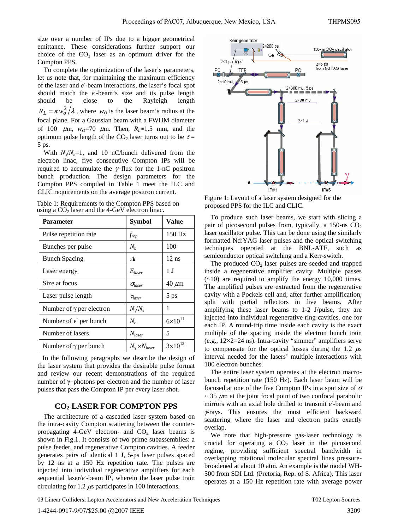size over a number of IPs due to a bigger geometrical emittance. These considerations further support our choice of the  $CO<sub>2</sub>$  laser as an optimum driver for the Compton PPS.

To complete the optimization of the laser's parameters, let us note that, for maintaining the maximum efficiency of the laser and *e -* -beam interactions, the laser's focal spot should match the *e -* -beam's size and its pulse length should be close to the Rayleigh length  $R_L = \pi w_o^2 / \lambda$ , where  $w_o$  is the laser beam's radius at the focal plane. For a Gaussian beam with a FWHM diameter of 100  $\mu$ m,  $w<sub>0</sub>=70 \mu$ m. Then,  $R_L \approx 1.5$  mm, and the optimum pulse length of the CO<sub>2</sub> laser turns out to be  $\tau =$ 5 ps.

With  $N\sqrt{N_e}$ =1, and 10 nC/bunch delivered from the electron linac, five consecutive Compton IPs will be required to accumulate the γ−flux for the 1-nC positron bunch production. The design parameters for the Compton PPS compiled in Table 1 meet the ILC and CLIC requirements on the average positron current.

Table 1: Requirements to the Compton PPS based on using a  $CO<sub>2</sub>$  laser and the 4-GeV electron linac.

| <b>Parameter</b>                | <b>Symbol</b>                 | Value              |
|---------------------------------|-------------------------------|--------------------|
| Pulse repetition rate           | $f_{rep}$                     | 150 Hz             |
| Bunches per pulse               | $N_h$                         | 100                |
| <b>Bunch Spacing</b>            | $\varDelta t$                 | $12$ ns            |
| Laser energy                    | $E_{laser}$                   | 1 J                |
| Size at focus                   | $\sigma_{laser}$              | $40 \ \mu m$       |
| Laser pulse length              | $\tau_{laser}$                | 5 ps               |
| Number of $\gamma$ per electron | $N_{\gamma}/N_e$              | 1                  |
| Number of e' per bunch          | $N_e$                         | $6 \times 10^{11}$ |
| Number of lasers                | $N_{laser}$                   | 5                  |
| Number of $\gamma$ per bunch    | $N_{\gamma} \times N_{laser}$ | $3 \times 10^{12}$ |

 In the following paragraphs we describe the design of the laser system that provides the desirable pulse format and review our recent demonstrations of the required number of γ−photons per electron and the number of laser pulses that pass the Compton IP per every laser shot.

# **CO2 LASER FOR COMPTON PPS**

The architecture of a cascaded laser system based on the intra-cavity Compton scattering between the counterpropagating 4-GeV electron- and  $CO<sub>2</sub>$  laser beams is shown in Fig.1. It consists of two prime subassemblies: a pulse feeder, and regenerative Compton cavities. A feeder generates pairs of identical 1 J, 5-ps laser pulses spaced by 12 ns at a 150 Hz repetition rate. The pulses are injected into individual regenerative amplifiers for each sequential laser/e<sup>-</sup>beam IP, wherein the laser pulse train circulating for 1.2  $\mu$ s participates in 100 interactions.



Figure 1: Layout of a laser system designed for the proposed PPS for the ILC and CLIC.

To produce such laser beams, we start with slicing a pair of picosecond pulses from, typically, a 150-ns  $CO<sub>2</sub>$ laser oscillator pulse. This can be done using the similarly formatted Nd:YAG laser pulses and the optical switching techniques operated at the BNL-ATF, such as semiconductor optical switching and a Kerr-switch.

The produced  $CO<sub>2</sub>$  laser pulses are seeded and trapped inside a regenerative amplifier cavity. Multiple passes  $(-10)$  are required to amplify the energy 10,000 times. The amplified pulses are extracted from the regenerative cavity with a Pockels cell and, after further amplification, split with partial reflectors in five beams. After amplifying these laser beams to 1-2 J/pulse, they are injected into individual regenerative ring-cavities, one for each IP. A round-trip time inside each cavity is the exact multiple of the spacing inside the electron bunch train (e.g.,  $12\times2=24$  ns). Intra-cavity "simmer" amplifiers serve to compensate for the optical losses during the 1.2  $\mu$ s interval needed for the lasers' multiple interactions with 100 electron bunches.

The entire laser system operates at the electron macrobunch repetition rate (150 Hz). Each laser beam will be focused at one of the five Compton IPs in a spot size of  $\sigma$  $\approx$  35  $\mu$ m at the joint focal point of two confocal parabolic mirrors with an axial hole drilled to transmit *e -* -beam and  $\gamma$ -rays. This ensures the most efficient backward scattering where the laser and electron paths exactly overlap.

We note that high-pressure gas-laser technology is crucial for operating a  $CO<sub>2</sub>$  laser in the picosecond regime, providing sufficient spectral bandwidth in overlapping rotational molecular spectral lines pressurebroadened at about 10 atm. An example is the model WH-500 from SDI Ltd. (Pretoria, Rep. of S. Africa). This laser operates at a 150 Hz repetition rate with average power

03 Linear Colliders, Lepton Accelerators and New Acceleration Techniques